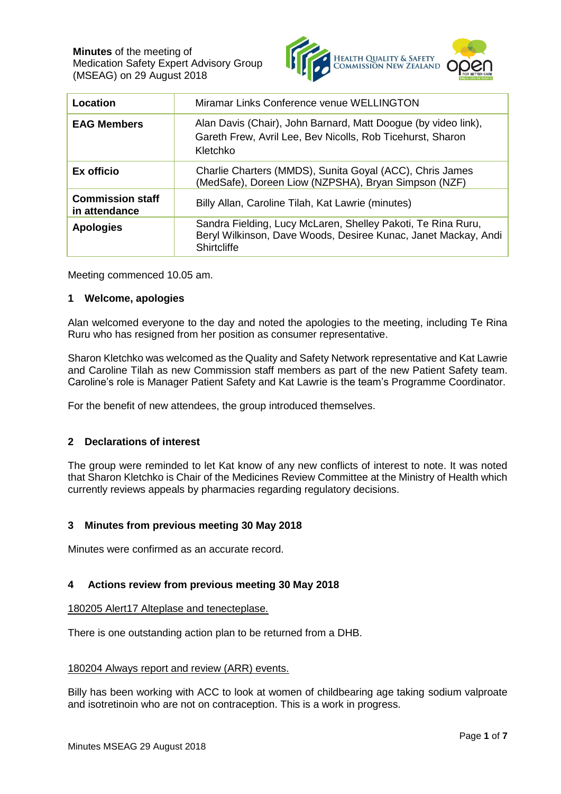

| Location                                 | Miramar Links Conference venue WELLINGTON                                                                                                     |
|------------------------------------------|-----------------------------------------------------------------------------------------------------------------------------------------------|
| <b>EAG Members</b>                       | Alan Davis (Chair), John Barnard, Matt Doogue (by video link),<br>Gareth Frew, Avril Lee, Bev Nicolls, Rob Ticehurst, Sharon<br>Kletchko      |
| Ex officio                               | Charlie Charters (MMDS), Sunita Goyal (ACC), Chris James<br>(MedSafe), Doreen Liow (NZPSHA), Bryan Simpson (NZF)                              |
| <b>Commission staff</b><br>in attendance | Billy Allan, Caroline Tilah, Kat Lawrie (minutes)                                                                                             |
| <b>Apologies</b>                         | Sandra Fielding, Lucy McLaren, Shelley Pakoti, Te Rina Ruru,<br>Beryl Wilkinson, Dave Woods, Desiree Kunac, Janet Mackay, Andi<br>Shirtcliffe |

Meeting commenced 10.05 am.

### **1 Welcome, apologies**

Alan welcomed everyone to the day and noted the apologies to the meeting, including Te Rina Ruru who has resigned from her position as consumer representative.

Sharon Kletchko was welcomed as the Quality and Safety Network representative and Kat Lawrie and Caroline Tilah as new Commission staff members as part of the new Patient Safety team. Caroline's role is Manager Patient Safety and Kat Lawrie is the team's Programme Coordinator.

For the benefit of new attendees, the group introduced themselves.

## **2 Declarations of interest**

The group were reminded to let Kat know of any new conflicts of interest to note. It was noted that Sharon Kletchko is Chair of the Medicines Review Committee at the Ministry of Health which currently reviews appeals by pharmacies regarding regulatory decisions.

## **3 Minutes from previous meeting 30 May 2018**

Minutes were confirmed as an accurate record.

## **4 Actions review from previous meeting 30 May 2018**

### 180205 Alert17 Alteplase and tenecteplase.

There is one outstanding action plan to be returned from a DHB.

### 180204 Always report and review (ARR) events.

Billy has been working with ACC to look at women of childbearing age taking sodium valproate and isotretinoin who are not on contraception. This is a work in progress.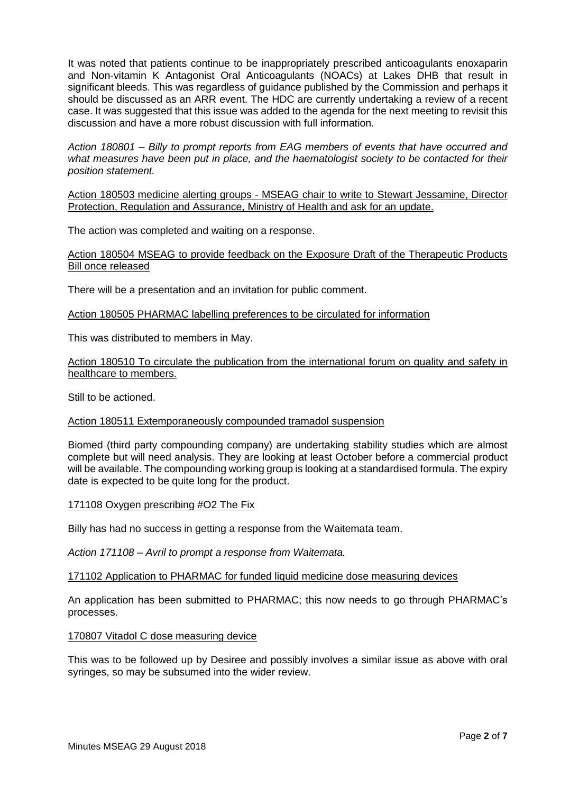It was noted that patients continue to be inappropriately prescribed anticoagulants enoxaparin and Non-vitamin K Antagonist Oral Anticoagulants (NOACs) at Lakes DHB that result in significant bleeds. This was regardless of guidance published by the Commission and perhaps it should be discussed as an ARR event. The HDC are currently undertaking a review of a recent case. It was suggested that this issue was added to the agenda for the next meeting to revisit this discussion and have a more robust discussion with full information.

*Action 180801 – Billy to prompt reports from EAG members of events that have occurred and what measures have been put in place, and the haematologist society to be contacted for their position statement.*

Action 180503 medicine alerting groups - MSEAG chair to write to Stewart Jessamine, Director Protection, Regulation and Assurance, Ministry of Health and ask for an update.

The action was completed and waiting on a response.

### Action 180504 MSEAG to provide feedback on the Exposure Draft of the Therapeutic Products Bill once released

There will be a presentation and an invitation for public comment.

Action 180505 PHARMAC labelling preferences to be circulated for information

This was distributed to members in May.

Action 180510 To circulate the publication from the international forum on quality and safety in healthcare to members.

Still to be actioned.

### Action 180511 Extemporaneously compounded tramadol suspension

Biomed (third party compounding company) are undertaking stability studies which are almost complete but will need analysis. They are looking at least October before a commercial product will be available. The compounding working group is looking at a standardised formula. The expiry date is expected to be quite long for the product.

### 171108 Oxygen prescribing #O2 The Fix

Billy has had no success in getting a response from the Waitemata team.

*Action 171108 – Avril to prompt a response from Waitemata.*

### 171102 Application to PHARMAC for funded liquid medicine dose measuring devices

An application has been submitted to PHARMAC; this now needs to go through PHARMAC's processes.

### 170807 Vitadol C dose measuring device

This was to be followed up by Desiree and possibly involves a similar issue as above with oral syringes, so may be subsumed into the wider review.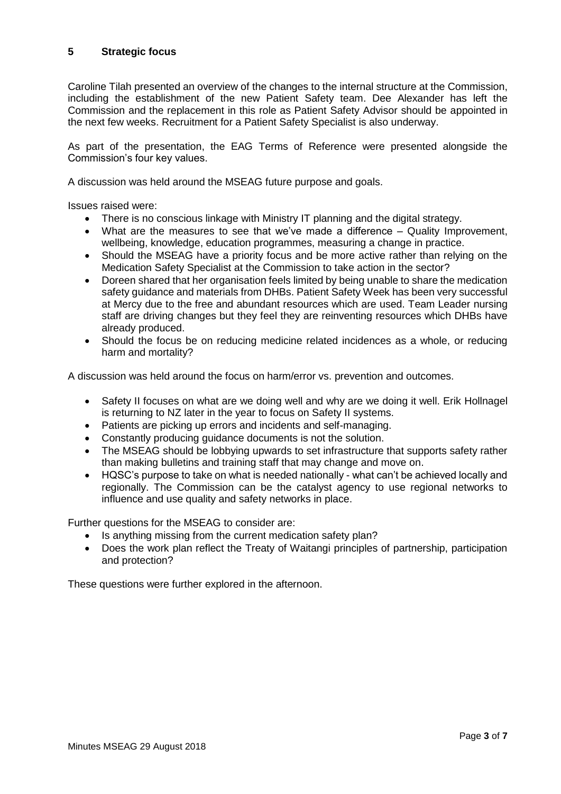# **5 Strategic focus**

Caroline Tilah presented an overview of the changes to the internal structure at the Commission, including the establishment of the new Patient Safety team. Dee Alexander has left the Commission and the replacement in this role as Patient Safety Advisor should be appointed in the next few weeks. Recruitment for a Patient Safety Specialist is also underway.

As part of the presentation, the EAG Terms of Reference were presented alongside the Commission's four key values.

A discussion was held around the MSEAG future purpose and goals.

Issues raised were:

- There is no conscious linkage with Ministry IT planning and the digital strategy.
- What are the measures to see that we've made a difference Quality Improvement, wellbeing, knowledge, education programmes, measuring a change in practice.
- Should the MSEAG have a priority focus and be more active rather than relying on the Medication Safety Specialist at the Commission to take action in the sector?
- Doreen shared that her organisation feels limited by being unable to share the medication safety guidance and materials from DHBs. Patient Safety Week has been very successful at Mercy due to the free and abundant resources which are used. Team Leader nursing staff are driving changes but they feel they are reinventing resources which DHBs have already produced.
- Should the focus be on reducing medicine related incidences as a whole, or reducing harm and mortality?

A discussion was held around the focus on harm/error vs. prevention and outcomes.

- Safety II focuses on what are we doing well and why are we doing it well. Erik Hollnagel is returning to NZ later in the year to focus on Safety II systems.
- Patients are picking up errors and incidents and self-managing.
- Constantly producing guidance documents is not the solution.
- The MSEAG should be lobbying upwards to set infrastructure that supports safety rather than making bulletins and training staff that may change and move on.
- HQSC's purpose to take on what is needed nationally what can't be achieved locally and regionally. The Commission can be the catalyst agency to use regional networks to influence and use quality and safety networks in place.

Further questions for the MSEAG to consider are:

- Is anything missing from the current medication safety plan?
- Does the work plan reflect the Treaty of Waitangi principles of partnership, participation and protection?

These questions were further explored in the afternoon.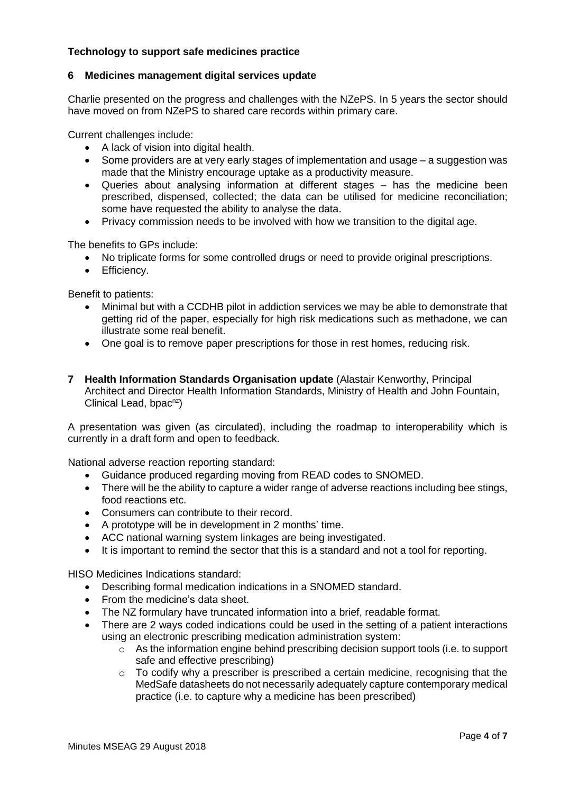# **Technology to support safe medicines practice**

### **6 Medicines management digital services update**

Charlie presented on the progress and challenges with the NZePS. In 5 years the sector should have moved on from NZePS to shared care records within primary care.

Current challenges include:

- A lack of vision into digital health.
- Some providers are at very early stages of implementation and usage a suggestion was made that the Ministry encourage uptake as a productivity measure.
- Queries about analysing information at different stages has the medicine been prescribed, dispensed, collected; the data can be utilised for medicine reconciliation; some have requested the ability to analyse the data.
- Privacy commission needs to be involved with how we transition to the digital age.

The benefits to GPs include:

- No triplicate forms for some controlled drugs or need to provide original prescriptions.
- Efficiency.

Benefit to patients:

- Minimal but with a CCDHB pilot in addiction services we may be able to demonstrate that getting rid of the paper, especially for high risk medications such as methadone, we can illustrate some real benefit.
- One goal is to remove paper prescriptions for those in rest homes, reducing risk.
- **7 Health Information Standards Organisation update** (Alastair Kenworthy, Principal Architect and Director Health Information Standards, Ministry of Health and John Fountain, Clinical Lead, bpac<sup>nz</sup>)

A presentation was given (as circulated), including the roadmap to interoperability which is currently in a draft form and open to feedback.

National adverse reaction reporting standard:

- Guidance produced regarding moving from READ codes to SNOMED.
- There will be the ability to capture a wider range of adverse reactions including bee stings, food reactions etc.
- Consumers can contribute to their record.
- A prototype will be in development in 2 months' time.
- ACC national warning system linkages are being investigated.
- It is important to remind the sector that this is a standard and not a tool for reporting.

HISO Medicines Indications standard:

- Describing formal medication indications in a SNOMED standard.
- From the medicine's data sheet.
- The NZ formulary have truncated information into a brief, readable format.
- There are 2 ways coded indications could be used in the setting of a patient interactions using an electronic prescribing medication administration system:
	- $\circ$  As the information engine behind prescribing decision support tools (i.e. to support safe and effective prescribing)
	- $\circ$  To codify why a prescriber is prescribed a certain medicine, recognising that the MedSafe datasheets do not necessarily adequately capture contemporary medical practice (i.e. to capture why a medicine has been prescribed)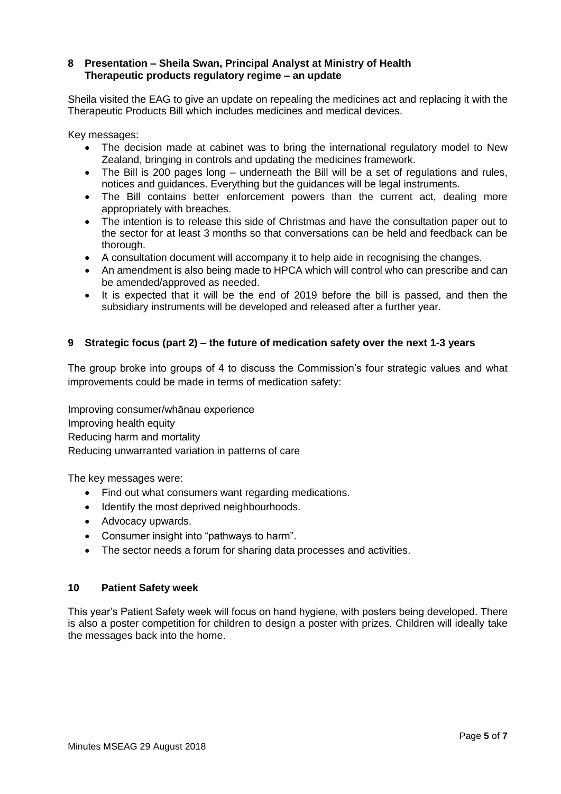## **8 Presentation – Sheila Swan, Principal Analyst at Ministry of Health Therapeutic products regulatory regime – an update**

Sheila visited the EAG to give an update on repealing the medicines act and replacing it with the Therapeutic Products Bill which includes medicines and medical devices.

Key messages:

- The decision made at cabinet was to bring the international regulatory model to New Zealand, bringing in controls and updating the medicines framework.
- The Bill is 200 pages long underneath the Bill will be a set of regulations and rules. notices and guidances. Everything but the guidances will be legal instruments.
- The Bill contains better enforcement powers than the current act, dealing more appropriately with breaches.
- The intention is to release this side of Christmas and have the consultation paper out to the sector for at least 3 months so that conversations can be held and feedback can be thorough.
- A consultation document will accompany it to help aide in recognising the changes.
- An amendment is also being made to HPCA which will control who can prescribe and can be amended/approved as needed.
- It is expected that it will be the end of 2019 before the bill is passed, and then the subsidiary instruments will be developed and released after a further year.

## **9 Strategic focus (part 2) – the future of medication safety over the next 1-3 years**

The group broke into groups of 4 to discuss the Commission's four strategic values and what improvements could be made in terms of medication safety:

Improving consumer/whānau experience Improving health equity Reducing harm and mortality Reducing unwarranted variation in patterns of care

The key messages were:

- Find out what consumers want regarding medications.
- Identify the most deprived neighbourhoods.
- Advocacy upwards.
- Consumer insight into "pathways to harm".
- The sector needs a forum for sharing data processes and activities.

### **10 Patient Safety week**

This year's Patient Safety week will focus on hand hygiene, with posters being developed. There is also a poster competition for children to design a poster with prizes. Children will ideally take the messages back into the home.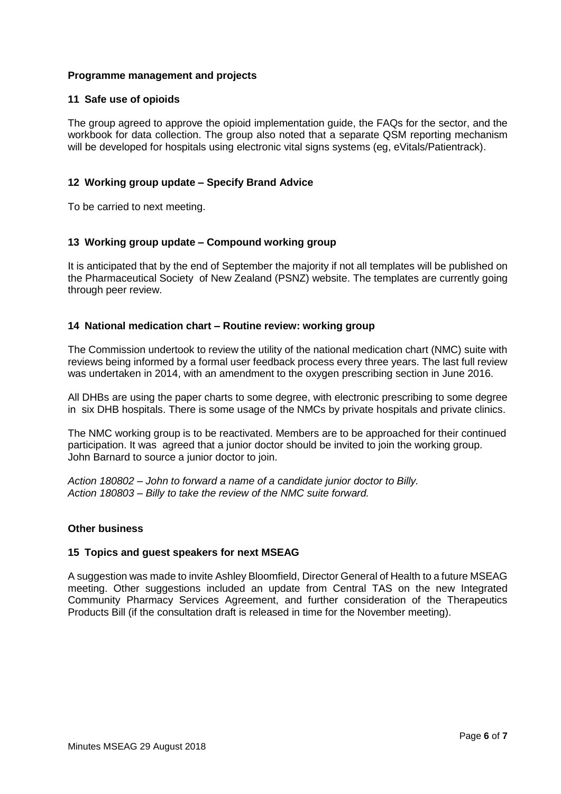### **Programme management and projects**

### **11 Safe use of opioids**

The group agreed to approve the opioid implementation guide, the FAQs for the sector, and the workbook for data collection. The group also noted that a separate QSM reporting mechanism will be developed for hospitals using electronic vital signs systems (eg, eVitals/Patientrack).

## **12 Working group update – Specify Brand Advice**

To be carried to next meeting.

### **13 Working group update – Compound working group**

It is anticipated that by the end of September the majority if not all templates will be published on the Pharmaceutical Society of New Zealand (PSNZ) website. The templates are currently going through peer review.

### **14 National medication chart – Routine review: working group**

The Commission undertook to review the utility of the national medication chart (NMC) suite with reviews being informed by a formal user feedback process every three years. The last full review was undertaken in 2014, with an amendment to the oxygen prescribing section in June 2016.

All DHBs are using the paper charts to some degree, with electronic prescribing to some degree in six DHB hospitals. There is some usage of the NMCs by private hospitals and private clinics.

The NMC working group is to be reactivated. Members are to be approached for their continued participation. It was agreed that a junior doctor should be invited to join the working group. John Barnard to source a junior doctor to join.

*Action 180802 – John to forward a name of a candidate junior doctor to Billy. Action 180803 – Billy to take the review of the NMC suite forward.*

### **Other business**

### **15 Topics and guest speakers for next MSEAG**

A suggestion was made to invite Ashley Bloomfield, Director General of Health to a future MSEAG meeting. Other suggestions included an update from Central TAS on the new Integrated Community Pharmacy Services Agreement, and further consideration of the Therapeutics Products Bill (if the consultation draft is released in time for the November meeting).